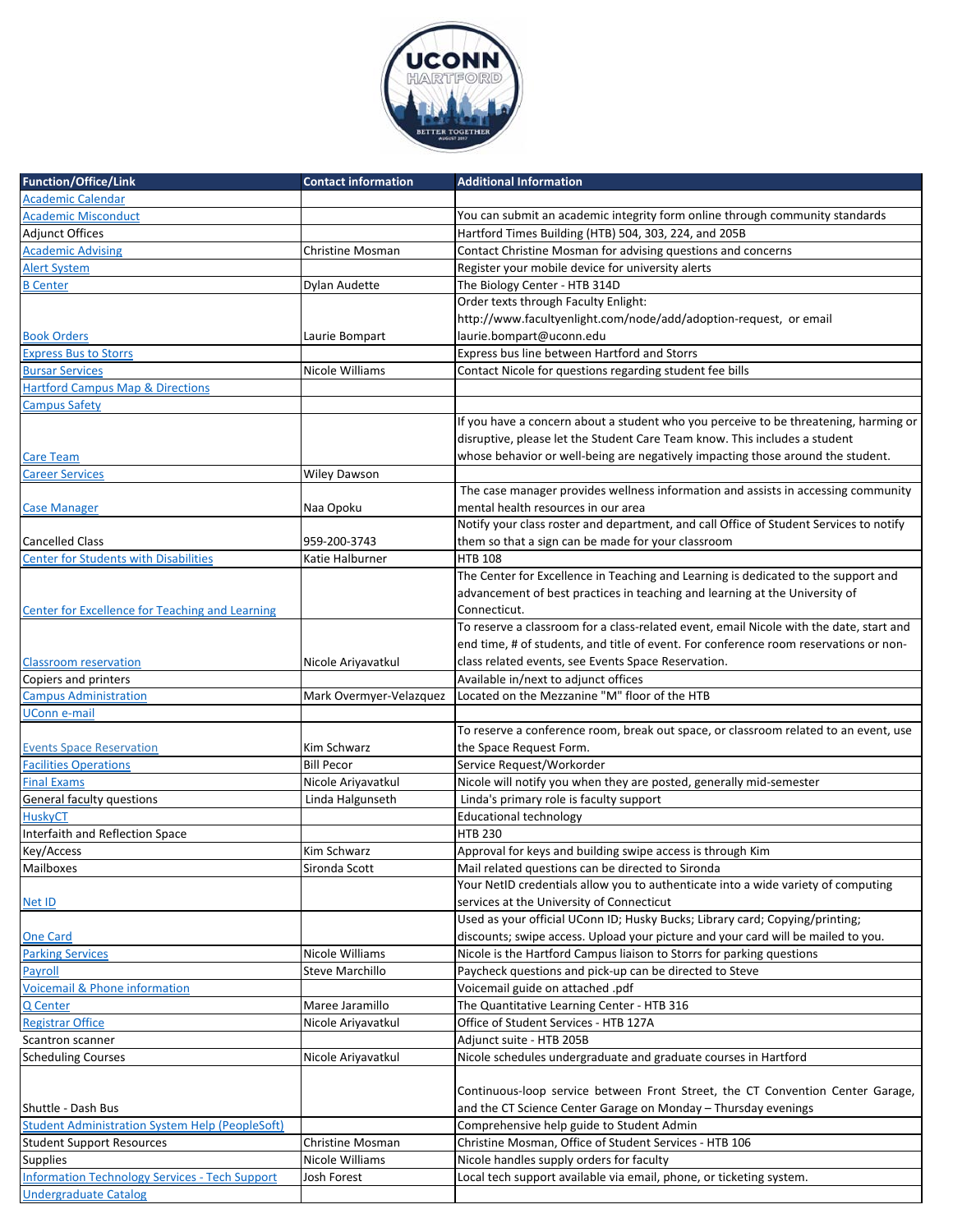

| <b>Function/Office/Link</b>                            | <b>Contact information</b> | <b>Additional Information</b>                                                           |
|--------------------------------------------------------|----------------------------|-----------------------------------------------------------------------------------------|
| <b>Academic Calendar</b>                               |                            |                                                                                         |
| <b>Academic Misconduct</b>                             |                            | You can submit an academic integrity form online through community standards            |
| <b>Adjunct Offices</b>                                 |                            | Hartford Times Building (HTB) 504, 303, 224, and 205B                                   |
| <b>Academic Advising</b>                               | Christine Mosman           | Contact Christine Mosman for advising questions and concerns                            |
| <b>Alert System</b>                                    |                            | Register your mobile device for university alerts                                       |
| <b>B</b> Center                                        | Dylan Audette              | The Biology Center - HTB 314D                                                           |
|                                                        |                            | Order texts through Faculty Enlight:                                                    |
|                                                        |                            | http://www.facultyenlight.com/node/add/adoption-request, or email                       |
| <b>Book Orders</b>                                     | Laurie Bompart             | laurie.bompart@uconn.edu                                                                |
| <b>Express Bus to Storrs</b>                           |                            | Express bus line between Hartford and Storrs                                            |
| <b>Bursar Services</b>                                 | Nicole Williams            |                                                                                         |
|                                                        |                            | Contact Nicole for questions regarding student fee bills                                |
| <b>Hartford Campus Map &amp; Directions</b>            |                            |                                                                                         |
| Campus Safety                                          |                            |                                                                                         |
|                                                        |                            | If you have a concern about a student who you perceive to be threatening, harming or    |
|                                                        |                            | disruptive, please let the Student Care Team know. This includes a student              |
| <b>Care Team</b>                                       |                            | whose behavior or well-being are negatively impacting those around the student.         |
| <b>Career Services</b>                                 | <b>Wiley Dawson</b>        |                                                                                         |
|                                                        |                            | The case manager provides wellness information and assists in accessing community       |
| Case Manager                                           | Naa Opoku                  | mental health resources in our area                                                     |
|                                                        |                            | Notify your class roster and department, and call Office of Student Services to notify  |
| <b>Cancelled Class</b>                                 | 959-200-3743               | them so that a sign can be made for your classroom                                      |
| <b>Center for Students with Disabilities</b>           | Katie Halburner            | <b>HTB 108</b>                                                                          |
|                                                        |                            | The Center for Excellence in Teaching and Learning is dedicated to the support and      |
|                                                        |                            | advancement of best practices in teaching and learning at the University of             |
| Center for Excellence for Teaching and Learning        |                            | Connecticut.                                                                            |
|                                                        |                            | To reserve a classroom for a class-related event, email Nicole with the date, start and |
|                                                        |                            | end time, # of students, and title of event. For conference room reservations or non-   |
| <b>Classroom reservation</b>                           | Nicole Ariyavatkul         | class related events, see Events Space Reservation.                                     |
| Copiers and printers                                   |                            | Available in/next to adjunct offices                                                    |
| Campus Administration                                  | Mark Overmyer-Velazquez    | Located on the Mezzanine "M" floor of the HTB                                           |
| UConn e-mail                                           |                            |                                                                                         |
|                                                        |                            | To reserve a conference room, break out space, or classroom related to an event, use    |
| <b>Events Space Reservation</b>                        | Kim Schwarz                | the Space Request Form.                                                                 |
| <b>Facilities Operations</b>                           | <b>Bill Pecor</b>          | Service Request/Workorder                                                               |
| <b>Final Exams</b>                                     | Nicole Ariyavatkul         | Nicole will notify you when they are posted, generally mid-semester                     |
| <b>General faculty questions</b>                       | Linda Halgunseth           | Linda's primary role is faculty support                                                 |
| <b>HuskyCT</b>                                         |                            | <b>Educational technology</b>                                                           |
| Interfaith and Reflection Space                        |                            | <b>HTB 230</b>                                                                          |
| Key/Access                                             | Kim Schwarz                | Approval for keys and building swipe access is through Kim                              |
| Mailboxes                                              | Sironda Scott              | Mail related questions can be directed to Sironda                                       |
|                                                        |                            | Your NetID credentials allow you to authenticate into a wide variety of computing       |
| Net ID                                                 |                            | services at the University of Connecticut                                               |
|                                                        |                            | Used as your official UConn ID; Husky Bucks; Library card; Copying/printing;            |
| <b>One Card</b>                                        |                            | discounts; swipe access. Upload your picture and your card will be mailed to you.       |
| <b>Parking Services</b>                                | Nicole Williams            | Nicole is the Hartford Campus liaison to Storrs for parking questions                   |
| Payroll                                                | <b>Steve Marchillo</b>     | Paycheck questions and pick-up can be directed to Steve                                 |
| <b>Voicemail &amp; Phone information</b>               |                            | Voicemail guide on attached .pdf                                                        |
| Q Center                                               | Maree Jaramillo            | The Quantitative Learning Center - HTB 316                                              |
| <b>Registrar Office</b>                                |                            |                                                                                         |
|                                                        | Nicole Ariyavatkul         | Office of Student Services - HTB 127A                                                   |
| Scantron scanner                                       |                            | Adjunct suite - HTB 205B                                                                |
| <b>Scheduling Courses</b>                              | Nicole Ariyavatkul         | Nicole schedules undergraduate and graduate courses in Hartford                         |
|                                                        |                            |                                                                                         |
|                                                        |                            | Continuous-loop service between Front Street, the CT Convention Center Garage,          |
| Shuttle - Dash Bus                                     |                            | and the CT Science Center Garage on Monday - Thursday evenings                          |
| <b>Student Administration System Help (PeopleSoft)</b> |                            | Comprehensive help guide to Student Admin                                               |
| <b>Student Support Resources</b>                       | Christine Mosman           | Christine Mosman, Office of Student Services - HTB 106                                  |
| <b>Supplies</b>                                        | Nicole Williams            | Nicole handles supply orders for faculty                                                |
| <b>Information Technology Services - Tech Support</b>  | Josh Forest                | Local tech support available via email, phone, or ticketing system.                     |
| <b>Undergraduate Catalog</b>                           |                            |                                                                                         |